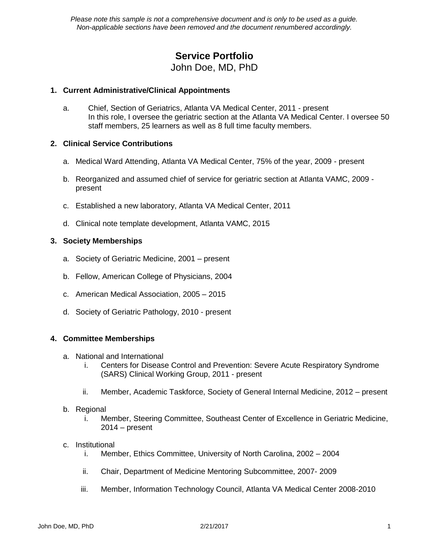*Please note this sample is not a comprehensive document and is only to be used as a guide. Non-applicable sections have been removed and the document renumbered accordingly.* 

# **Service Portfolio** John Doe, MD, PhD

## **1. Current Administrative/Clinical Appointments**

a. Chief, Section of Geriatrics, Atlanta VA Medical Center, 2011 - present In this role, I oversee the geriatric section at the Atlanta VA Medical Center. I oversee 50 staff members, 25 learners as well as 8 full time faculty members.

## **2. Clinical Service Contributions**

- a. Medical Ward Attending, Atlanta VA Medical Center, 75% of the year, 2009 present
- b. Reorganized and assumed chief of service for geriatric section at Atlanta VAMC, 2009 present
- c. Established a new laboratory, Atlanta VA Medical Center, 2011
- d. Clinical note template development, Atlanta VAMC, 2015

## **3. Society Memberships**

- a. Society of Geriatric Medicine, 2001 present
- b. Fellow, American College of Physicians, 2004
- c. American Medical Association, 2005 2015
- d. Society of Geriatric Pathology, 2010 present

### **4. Committee Memberships**

- a. National and International
	- i. Centers for Disease Control and Prevention: Severe Acute Respiratory Syndrome (SARS) Clinical Working Group, 2011 - present
	- ii. Member, Academic Taskforce, Society of General Internal Medicine, 2012 present

### b. Regional

i. Member, Steering Committee, Southeast Center of Excellence in Geriatric Medicine,  $2014 - present$ 

### c. Institutional

- i. Member, Ethics Committee, University of North Carolina, 2002 2004
- ii. Chair, Department of Medicine Mentoring Subcommittee, 2007- 2009
- iii. Member, Information Technology Council, Atlanta VA Medical Center 2008-2010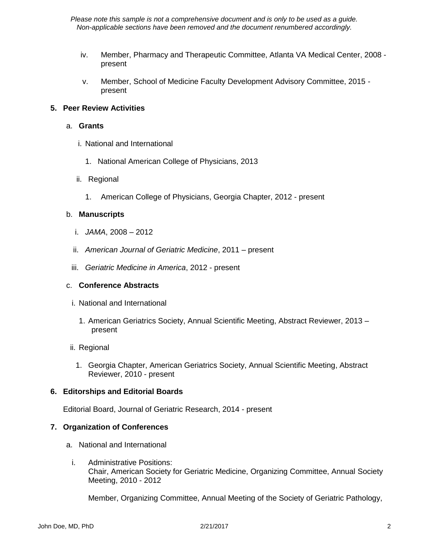*Please note this sample is not a comprehensive document and is only to be used as a guide. Non-applicable sections have been removed and the document renumbered accordingly.* 

- iv. Member, Pharmacy and Therapeutic Committee, Atlanta VA Medical Center, 2008 present
- v. Member, School of Medicine Faculty Development Advisory Committee, 2015 present

## **5. Peer Review Activities**

### a. **Grants**

- i. National and International
	- 1. National American College of Physicians, 2013
- ii. Regional
	- 1. American College of Physicians, Georgia Chapter, 2012 present

### b. **Manuscripts**

- i. *JAMA*, 2008 2012
- ii. *American Journal of Geriatric Medicine*, 2011 present
- iii. *Geriatric Medicine in America*, 2012 present

### c. **Conference Abstracts**

- i. National and International
	- 1. American Geriatrics Society, Annual Scientific Meeting, Abstract Reviewer, 2013 present
- ii. Regional
	- 1. Georgia Chapter, American Geriatrics Society, Annual Scientific Meeting, Abstract Reviewer, 2010 - present

## **6. Editorships and Editorial Boards**

Editorial Board, Journal of Geriatric Research, 2014 - present

### **7. Organization of Conferences**

- a. National and International
	- i. Administrative Positions: Chair, American Society for Geriatric Medicine, Organizing Committee, Annual Society Meeting, 2010 - 2012

Member, Organizing Committee, Annual Meeting of the Society of Geriatric Pathology,